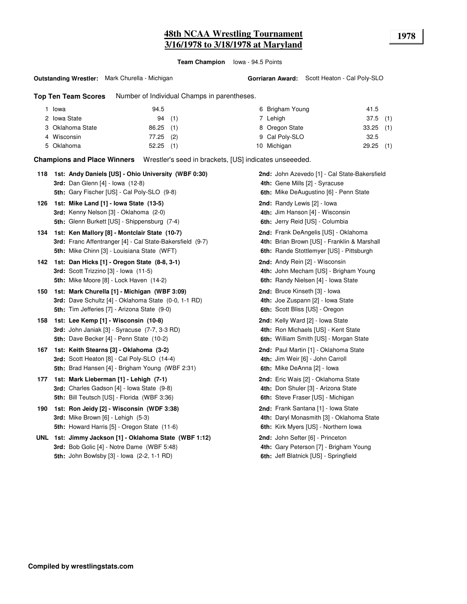**Team Champion** Iowa - 94.5 Points

**Top Ten Team Scores** Number of Individual Champs in parentheses.

| Iowa             | 94.5        | 6 Brigham Young | 41.5        |
|------------------|-------------|-----------------|-------------|
| 2 Iowa State     | 94(1)       | 7 Lehiah        | $37.5$ (1)  |
| 3 Oklahoma State | $86.25$ (1) | 8 Oregon State  | $33.25$ (1) |
| 4 Wisconsin      | $77.25$ (2) | 9 Cal Poly-SLO  | 32.5        |
| 5 Oklahoma       | $52.25$ (1) | 10 Michigan     | $29.25$ (1) |

**Champions and Place Winners** Wrestler's seed in brackets, [US] indicates unseeeded.

| 118. | 1st: Andy Daniels [US] - Ohio University (WBF 0:30)<br><b>3rd:</b> Dan Glenn [4] - Iowa (12-8)<br>5th: Gary Fischer [US] - Cal Poly-SLO (9-8)               | 2nd: John Azevedo [1] - Cal State-Bakersfield<br>4th: Gene Mills [2] - Syracuse<br>6th: Mike DeAugustino [6] - Penn State       |
|------|-------------------------------------------------------------------------------------------------------------------------------------------------------------|---------------------------------------------------------------------------------------------------------------------------------|
| 126  | 1st: Mike Land [1] - Iowa State (13-5)<br>3rd: Kenny Nelson [3] - Oklahoma (2-0)<br>5th: Glenn Burkett [US] - Shippensburg (7-4)                            | 2nd: Randy Lewis [2] - Iowa<br>4th: Jim Hanson [4] - Wisconsin<br>6th: Jerry Reid [US] - Columbia                               |
| 134  | 1st: Ken Mallory [8] - Montclair State (10-7)<br>3rd: Franc Affentranger [4] - Cal State-Bakersfield (9-7)<br>5th: Mike Chinn [3] - Louisiana State (WFT)   | 2nd: Frank DeAngelis [US] - Oklahoma<br>4th: Brian Brown [US] - Franklin & Marshall<br>6th: Rande Stottlemyer [US] - Pittsburgh |
| 142  | 1st: Dan Hicks [1] - Oregon State (8-8, 3-1)<br>3rd: Scott Trizzino [3] - Iowa (11-5)<br>5th: Mike Moore [8] - Lock Haven (14-2)                            | 2nd: Andy Rein [2] - Wisconsin<br>4th: John Mecham [US] - Brigham Young<br>6th: Randy Nielsen [4] - Iowa State                  |
| 150  | 1st: Mark Churella [1] - Michigan (WBF 3:09)<br>3rd: Dave Schultz [4] - Oklahoma State (0-0, 1-1 RD)<br><b>5th:</b> Tim Jefferies [7] - Arizona State (9-0) | 2nd: Bruce Kinseth [3] - Iowa<br>4th: Joe Zuspann [2] - Iowa State<br>6th: Scott Bliss [US] - Oregon                            |
| 158  | 1st: Lee Kemp [1] - Wisconsin (10-8)<br><b>3rd:</b> John Janiak $[3]$ - Syracuse $(7-7, 3-3$ RD)<br>5th: Dave Becker [4] - Penn State (10-2)                | 2nd: Kelly Ward [2] - Iowa State<br>4th: Ron Michaels [US] - Kent State<br>6th: William Smith [US] - Morgan State               |
| 167  | 1st: Keith Stearns [3] - Oklahoma (3-2)<br>3rd: Scott Heaton [8] - Cal Poly-SLO (14-4)<br>5th: Brad Hansen [4] - Brigham Young (WBF 2:31)                   | 2nd: Paul Martin [1] - Oklahoma State<br>4th: Jim Weir [6] - John Carroll<br>6th: Mike DeAnna [2] - Iowa                        |
| 177  | 1st: Mark Lieberman [1] - Lehigh (7-1)<br>3rd: Charles Gadson [4] - Iowa State (9-8)<br><b>5th: Bill Teutsch [US] - Florida (WBF 3:36)</b>                  | 2nd: Eric Wais [2] - Oklahoma State<br>4th: Don Shuler [3] - Arizona State<br>6th: Steve Fraser [US] - Michigan                 |
| 190  | 1st: Ron Jeidy [2] - Wisconsin (WDF 3:38)<br>3rd: Mike Brown [6] - Lehigh (5-3)<br><b>5th:</b> Howard Harris [5] - Oregon State (11-6)                      | 2nd: Frank Santana [1] - Iowa State<br>4th: Daryl Monasmith [3] - Oklahoma State<br>6th: Kirk Myers [US] - Northern Iowa        |
|      | UNL 1st: Jimmy Jackson [1] - Oklahoma State (WBF 1:12)<br>3rd: Bob Golic [4] - Notre Dame (WBF 5:48)<br>5th: John Bowlsby [3] - Iowa (2-2, 1-1 RD)          | 2nd: John Sefter [6] - Princeton<br>4th: Gary Peterson [7] - Brigham Young<br>6th: Jeff Blatnick [US] - Springfield             |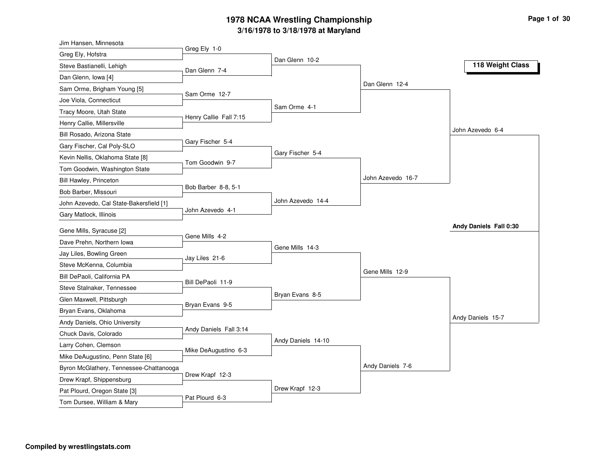| Jim Hansen, Minnesota                                    |                        |                    |                   |                        |
|----------------------------------------------------------|------------------------|--------------------|-------------------|------------------------|
| Greg Ely, Hofstra                                        | Greg Ely 1-0           |                    |                   |                        |
| Steve Bastianelli, Lehigh                                | Dan Glenn 7-4          | Dan Glenn 10-2     |                   | 118 Weight Class       |
| Dan Glenn, Iowa [4]                                      |                        |                    |                   |                        |
| Sam Orme, Brigham Young [5]                              |                        |                    | Dan Glenn 12-4    |                        |
| Joe Viola, Connecticut                                   | Sam Orme 12-7          |                    |                   |                        |
| Tracy Moore, Utah State                                  |                        | Sam Orme 4-1       |                   |                        |
| Henry Callie, Millersville                               | Henry Callie Fall 7:15 |                    |                   |                        |
| Bill Rosado, Arizona State                               |                        |                    |                   | John Azevedo 6-4       |
| Gary Fischer, Cal Poly-SLO                               | Gary Fischer 5-4       |                    |                   |                        |
| Kevin Nellis, Oklahoma State [8]                         | Tom Goodwin 9-7        | Gary Fischer 5-4   |                   |                        |
| Tom Goodwin, Washington State                            |                        |                    |                   |                        |
| Bill Hawley, Princeton                                   |                        |                    | John Azevedo 16-7 |                        |
| Bob Barber, Missouri                                     | Bob Barber 8-8, 5-1    |                    |                   |                        |
| John Azevedo, Cal State-Bakersfield [1]                  |                        | John Azevedo 14-4  |                   |                        |
| Gary Matlock, Illinois                                   | John Azevedo 4-1       |                    |                   |                        |
|                                                          |                        |                    |                   |                        |
|                                                          |                        |                    |                   | Andy Daniels Fall 0:30 |
| Gene Mills, Syracuse [2]                                 | Gene Mills 4-2         |                    |                   |                        |
| Dave Prehn, Northern Iowa                                |                        | Gene Mills 14-3    |                   |                        |
| Jay Liles, Bowling Green                                 | Jay Liles 21-6         |                    |                   |                        |
| Steve McKenna, Columbia                                  |                        |                    | Gene Mills 12-9   |                        |
| Bill DePaoli, California PA                              | Bill DePaoli 11-9      |                    |                   |                        |
| Steve Stalnaker, Tennessee                               |                        | Bryan Evans 8-5    |                   |                        |
| Glen Maxwell, Pittsburgh                                 | Bryan Evans 9-5        |                    |                   |                        |
| Bryan Evans, Oklahoma                                    |                        |                    |                   | Andy Daniels 15-7      |
| Andy Daniels, Ohio University                            | Andy Daniels Fall 3:14 |                    |                   |                        |
| Chuck Davis, Colorado                                    |                        | Andy Daniels 14-10 |                   |                        |
| Larry Cohen, Clemson                                     | Mike DeAugustino 6-3   |                    |                   |                        |
| Mike DeAugustino, Penn State [6]                         |                        |                    | Andy Daniels 7-6  |                        |
| Byron McGlathery, Tennessee-Chattanooga                  | Drew Krapf 12-3        |                    |                   |                        |
| Drew Krapf, Shippensburg<br>Pat Plourd, Oregon State [3] |                        | Drew Krapf 12-3    |                   |                        |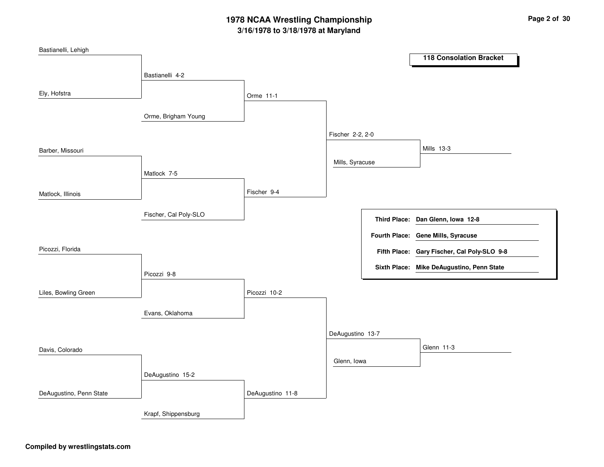| Bastianelli, Lehigh     |                       |                  |                  |                                             |
|-------------------------|-----------------------|------------------|------------------|---------------------------------------------|
|                         |                       |                  |                  | <b>118 Consolation Bracket</b>              |
|                         | Bastianelli 4-2       |                  |                  |                                             |
|                         |                       |                  |                  |                                             |
| Ely, Hofstra            |                       | Orme 11-1        |                  |                                             |
|                         | Orme, Brigham Young   |                  |                  |                                             |
|                         |                       |                  |                  |                                             |
|                         |                       |                  | Fischer 2-2, 2-0 |                                             |
| Barber, Missouri        |                       |                  |                  | Mills 13-3                                  |
|                         |                       |                  | Mills, Syracuse  |                                             |
|                         | Matlock 7-5           |                  |                  |                                             |
|                         |                       |                  |                  |                                             |
| Matlock, Illinois       |                       | Fischer 9-4      |                  |                                             |
|                         | Fischer, Cal Poly-SLO |                  |                  |                                             |
|                         |                       |                  |                  | Third Place: Dan Glenn, Iowa 12-8           |
|                         |                       |                  |                  | Fourth Place: Gene Mills, Syracuse          |
| Picozzi, Florida        |                       |                  |                  | Fifth Place: Gary Fischer, Cal Poly-SLO 9-8 |
|                         |                       |                  |                  |                                             |
|                         | Picozzi 9-8           |                  |                  | Sixth Place: Mike DeAugustino, Penn State   |
|                         |                       |                  |                  |                                             |
| Liles, Bowling Green    |                       | Picozzi 10-2     |                  |                                             |
|                         | Evans, Oklahoma       |                  |                  |                                             |
|                         |                       |                  |                  |                                             |
|                         |                       |                  | DeAugustino 13-7 |                                             |
| Davis, Colorado         |                       |                  |                  | Glenn 11-3                                  |
|                         |                       |                  | Glenn, Iowa      |                                             |
|                         | DeAugustino 15-2      |                  |                  |                                             |
|                         |                       |                  |                  |                                             |
| DeAugustino, Penn State |                       | DeAugustino 11-8 |                  |                                             |
|                         | Krapf, Shippensburg   |                  |                  |                                             |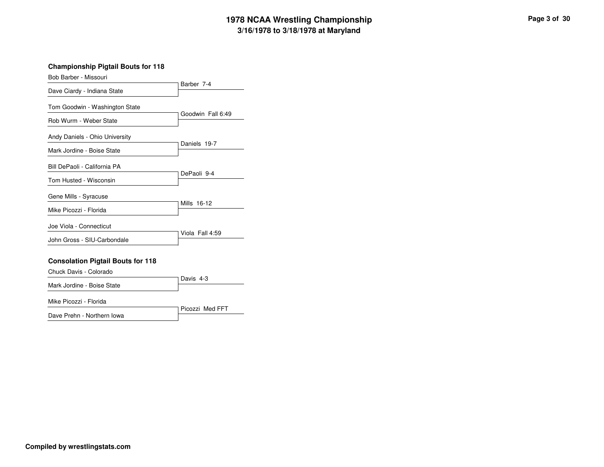**Championship Pigtail Bouts for 118**

| Bob Barber - Missouri                                        |                   |
|--------------------------------------------------------------|-------------------|
| Dave Ciardy - Indiana State                                  | Barber 7-4        |
| Tom Goodwin - Washington State                               |                   |
| Rob Wurm - Weber State                                       | Goodwin Fall 6:49 |
| Andy Daniels - Ohio University<br>Mark Jordine - Boise State | Daniels 19-7      |
| Bill DePaoli - California PA                                 | DePaoli 9-4       |
| Tom Husted - Wisconsin                                       |                   |
| Gene Mills - Syracuse                                        |                   |
| Mike Picozzi - Florida                                       | Mills 16-12       |
| Joe Viola - Connecticut                                      |                   |
| John Gross - SIU-Carbondale                                  | Viola Fall 4:59   |
| <b>Consolation Pigtail Bouts for 118</b>                     |                   |

Davis 4-3Chuck Davis - ColoradoMark Jordine - Boise State

Mike Picozzi - Florida

Picozzi Med FFTDave Prehn - Northern Iowa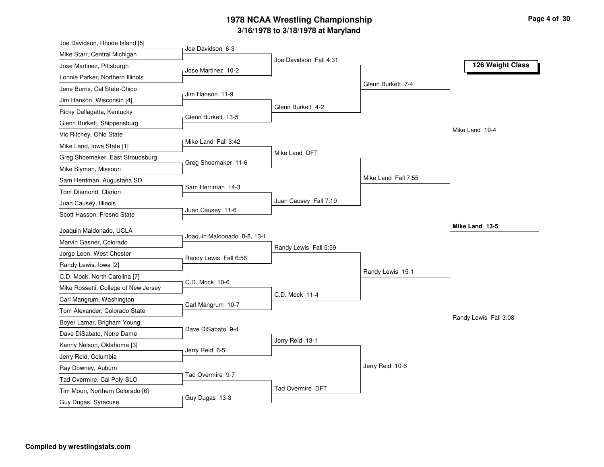| Joe Davidson, Rhode Island [5]       |                             |                        |                     |                       |
|--------------------------------------|-----------------------------|------------------------|---------------------|-----------------------|
| Mike Starr, Central Michigan         | Joe Davidson 6-3            |                        |                     |                       |
| Jose Martinez, Pittsburgh            |                             | Joe Davidson Fall 4:31 |                     | 126 Weight Class      |
| Lonnie Parker, Northern Illinois     | Jose Martinez 10-2          |                        |                     |                       |
| Jene Burris, Cal State-Chico         |                             |                        | Glenn Burkett 7-4   |                       |
| Jim Hanson, Wisconsin [4]            | Jim Hanson 11-9             |                        |                     |                       |
| Ricky Dellagatta, Kentucky           |                             | Glenn Burkett 4-2      |                     |                       |
| Glenn Burkett, Shippensburg          | Glenn Burkett 13-5          |                        |                     |                       |
| Vic Ritchey, Ohio State              |                             |                        |                     | Mike Land 19-4        |
| Mike Land, Iowa State [1]            | Mike Land Fall 3:42         |                        |                     |                       |
| Greg Shoemaker, East Stroudsburg     |                             | Mike Land DFT          |                     |                       |
| Mike Slyman, Missouri                | Greg Shoemaker 11-6         |                        |                     |                       |
| Sam Herriman, Augustana SD           |                             |                        | Mike Land Fall 7:55 |                       |
| Tom Diamond, Clarion                 | Sam Herriman 14-3           |                        |                     |                       |
| Juan Causey, Illinois                |                             | Juan Causey Fall 7:19  |                     |                       |
| Scott Hasson, Fresno State           | Juan Causey 11-6            |                        |                     |                       |
|                                      |                             |                        |                     | Mike Land 13-5        |
| Joaquin Maldonado, UCLA              | Joaquin Maldonado 8-8, 13-1 |                        |                     |                       |
| Marvin Gasner, Colorado              |                             | Randy Lewis Fall 5:59  |                     |                       |
| Jorge Leon, West Chester             | Randy Lewis Fall 6:56       |                        |                     |                       |
| Randy Lewis, Iowa [2]                |                             |                        | Randy Lewis 15-1    |                       |
| C.D. Mock, North Carolina [7]        | C.D. Mock 10-6              |                        |                     |                       |
| Mike Rossetti, College of New Jersey |                             | C.D. Mock 11-4         |                     |                       |
| Carl Mangrum, Washington             | Carl Mangrum 10-7           |                        |                     |                       |
| Tom Alexander, Colorado State        |                             |                        |                     | Randy Lewis Fall 3:08 |
| Boyer Lamar, Brigham Young           | Dave DiSabato 9-4           |                        |                     |                       |
| Dave DiSabato, Notre Dame            |                             | Jerry Reid 13-1        |                     |                       |
| Kenny Nelson, Oklahoma [3]           | Jerry Reid 6-5              |                        |                     |                       |
| Jerry Reid, Columbia                 |                             |                        | Jerry Reid 10-6     |                       |
| Ray Downey, Auburn                   | Tad Overmire 9-7            |                        |                     |                       |
| Tad Overmire, Cal Poly-SLO           |                             | Tad Overmire DFT       |                     |                       |
| Tim Moon, Northern Colorado [6]      | Guy Dugas 13-3              |                        |                     |                       |
| Guy Dugas, Syracuse                  |                             |                        |                     |                       |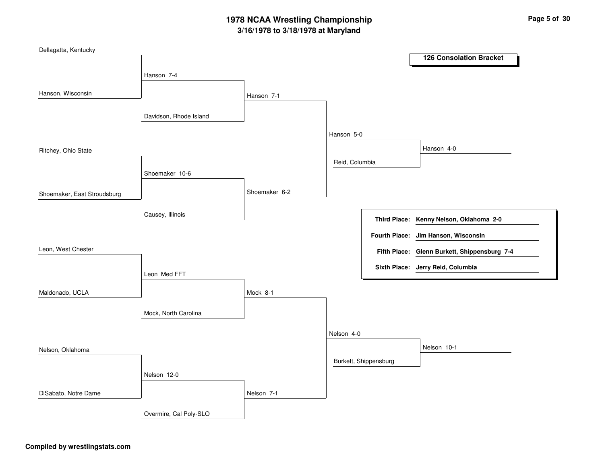| Dellagatta, Kentucky        |                        |               |                |                       |                                              |
|-----------------------------|------------------------|---------------|----------------|-----------------------|----------------------------------------------|
|                             |                        |               |                |                       | <b>126 Consolation Bracket</b>               |
|                             | Hanson 7-4             |               |                |                       |                                              |
| Hanson, Wisconsin           |                        |               |                |                       |                                              |
|                             |                        | Hanson 7-1    |                |                       |                                              |
|                             | Davidson, Rhode Island |               |                |                       |                                              |
|                             |                        |               | Hanson 5-0     |                       |                                              |
| Ritchey, Ohio State         |                        |               |                |                       | Hanson 4-0                                   |
|                             |                        |               | Reid, Columbia |                       |                                              |
|                             | Shoemaker 10-6         |               |                |                       |                                              |
| Shoemaker, East Stroudsburg |                        | Shoemaker 6-2 |                |                       |                                              |
|                             |                        |               |                |                       |                                              |
|                             | Causey, Illinois       |               |                |                       | Third Place: Kenny Nelson, Oklahoma 2-0      |
|                             |                        |               |                |                       | Fourth Place: Jim Hanson, Wisconsin          |
| Leon, West Chester          |                        |               |                |                       |                                              |
|                             |                        |               |                |                       | Fifth Place: Glenn Burkett, Shippensburg 7-4 |
|                             | Leon Med FFT           |               |                |                       | Sixth Place: Jerry Reid, Columbia            |
| Maldonado, UCLA             |                        | Mock 8-1      |                |                       |                                              |
|                             |                        |               |                |                       |                                              |
|                             | Mock, North Carolina   |               |                |                       |                                              |
|                             |                        |               | Nelson 4-0     |                       |                                              |
| Nelson, Oklahoma            |                        |               |                |                       | Nelson 10-1                                  |
|                             |                        |               |                | Burkett, Shippensburg |                                              |
|                             | Nelson 12-0            |               |                |                       |                                              |
| DiSabato, Notre Dame        |                        | Nelson 7-1    |                |                       |                                              |
|                             | Overmire, Cal Poly-SLO |               |                |                       |                                              |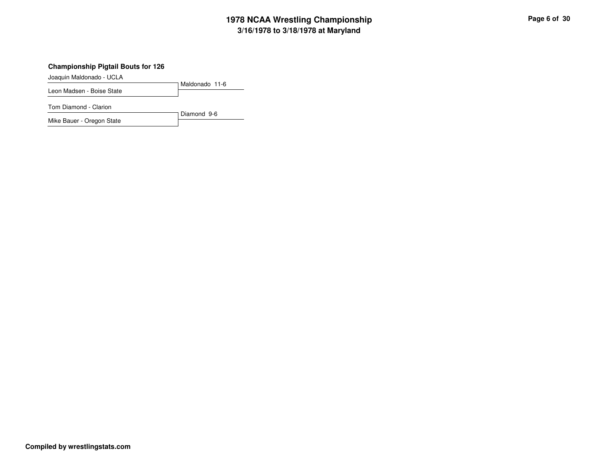### **Championship Pigtail Bouts for 126**

Joaquin Maldonado - UCLA

Maldonado 11-6Leon Madsen - Boise State

Tom Diamond - Clarion

Diamond 9-6Mike Bauer - Oregon State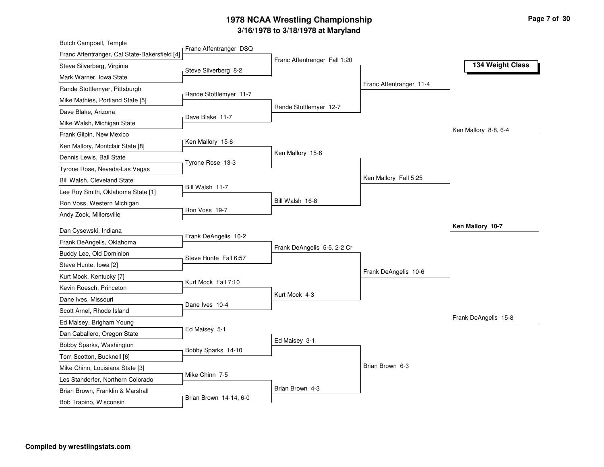| Butch Campbell, Temple                                                |                        |                              |                         |                      |
|-----------------------------------------------------------------------|------------------------|------------------------------|-------------------------|----------------------|
| Franc Affentranger, Cal State-Bakersfield [4]                         | Franc Affentranger DSQ | Franc Affentranger Fall 1:20 |                         |                      |
| Steve Silverberg, Virginia                                            | Steve Silverberg 8-2   |                              |                         | 134 Weight Class     |
| Mark Warner, Iowa State                                               |                        |                              |                         |                      |
| Rande Stottlemyer, Pittsburgh                                         |                        |                              | Franc Affentranger 11-4 |                      |
| Mike Mathies, Portland State [5]                                      | Rande Stottlemyer 11-7 |                              |                         |                      |
| Dave Blake, Arizona                                                   |                        | Rande Stottlemyer 12-7       |                         |                      |
| Mike Walsh, Michigan State                                            | Dave Blake 11-7        |                              |                         |                      |
| Frank Gilpin, New Mexico                                              |                        |                              |                         | Ken Mallory 8-8, 6-4 |
| Ken Mallory, Montclair State [8]                                      | Ken Mallory 15-6       |                              |                         |                      |
| Dennis Lewis, Ball State                                              |                        | Ken Mallory 15-6             |                         |                      |
| Tyrone Rose, Nevada-Las Vegas                                         | Tyrone Rose 13-3       |                              |                         |                      |
| Bill Walsh, Cleveland State                                           |                        |                              | Ken Mallory Fall 5:25   |                      |
| Lee Roy Smith, Oklahoma State [1]                                     | Bill Walsh 11-7        |                              |                         |                      |
| Ron Voss, Western Michigan                                            |                        | Bill Walsh 16-8              |                         |                      |
| Andy Zook, Millersville                                               | Ron Voss 19-7          |                              |                         |                      |
| Dan Cysewski, Indiana                                                 |                        |                              |                         | Ken Mallory 10-7     |
| Frank DeAngelis, Oklahoma                                             | Frank DeAngelis 10-2   |                              |                         |                      |
| Buddy Lee, Old Dominion                                               |                        | Frank DeAngelis 5-5, 2-2 Cr  |                         |                      |
| Steve Hunte, Iowa [2]                                                 | Steve Hunte Fall 6:57  |                              |                         |                      |
| Kurt Mock, Kentucky [7]                                               |                        |                              | Frank DeAngelis 10-6    |                      |
| Kevin Roesch, Princeton                                               | Kurt Mock Fall 7:10    |                              |                         |                      |
| Dane Ives, Missouri                                                   |                        | Kurt Mock 4-3                |                         |                      |
| Scott Arnel, Rhode Island                                             | Dane Ives 10-4         |                              |                         |                      |
| Ed Maisey, Brigham Young                                              |                        |                              |                         | Frank DeAngelis 15-8 |
| Dan Caballero, Oregon State                                           | Ed Maisey 5-1          |                              |                         |                      |
| Bobby Sparks, Washington                                              |                        |                              |                         |                      |
|                                                                       |                        | Ed Maisey 3-1                |                         |                      |
|                                                                       | Bobby Sparks 14-10     |                              |                         |                      |
| Tom Scotton, Bucknell [6]                                             |                        |                              | Brian Brown 6-3         |                      |
| Mike Chinn, Louisiana State [3]                                       | Mike Chinn 7-5         |                              |                         |                      |
| Les Standerfer, Northern Colorado<br>Brian Brown, Franklin & Marshall |                        | Brian Brown 4-3              |                         |                      |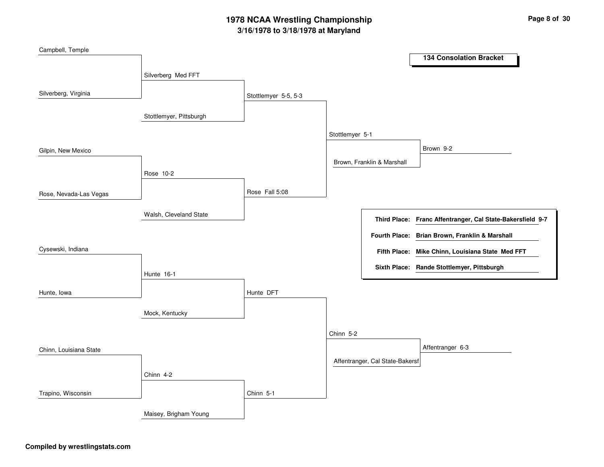| Campbell, Temple       |                         |                      |                                 |                                                            |
|------------------------|-------------------------|----------------------|---------------------------------|------------------------------------------------------------|
|                        |                         |                      |                                 | <b>134 Consolation Bracket</b>                             |
|                        | Silverberg Med FFT      |                      |                                 |                                                            |
| Silverberg, Virginia   |                         | Stottlemyer 5-5, 5-3 |                                 |                                                            |
|                        |                         |                      |                                 |                                                            |
|                        | Stottlemyer, Pittsburgh |                      |                                 |                                                            |
|                        |                         |                      | Stottlemyer 5-1                 |                                                            |
| Gilpin, New Mexico     |                         |                      |                                 | Brown 9-2                                                  |
|                        |                         |                      | Brown, Franklin & Marshall      |                                                            |
|                        | Rose 10-2               |                      |                                 |                                                            |
| Rose, Nevada-Las Vegas |                         | Rose Fall 5:08       |                                 |                                                            |
|                        |                         |                      |                                 |                                                            |
|                        | Walsh, Cleveland State  |                      |                                 | Third Place: Franc Affentranger, Cal State-Bakersfield 9-7 |
|                        |                         |                      |                                 | Fourth Place: Brian Brown, Franklin & Marshall             |
| Cysewski, Indiana      |                         |                      |                                 | Fifth Place: Mike Chinn, Louisiana State Med FFT           |
|                        | Hunte 16-1              |                      |                                 | Sixth Place: Rande Stottlemyer, Pittsburgh                 |
|                        |                         |                      |                                 |                                                            |
| Hunte, Iowa            |                         | Hunte DFT            |                                 |                                                            |
|                        |                         |                      |                                 |                                                            |
|                        |                         |                      |                                 |                                                            |
|                        |                         |                      | Chinn 5-2                       |                                                            |
| Chinn, Louisiana State |                         |                      |                                 | Affentranger 6-3                                           |
|                        |                         |                      | Affentranger, Cal State-Bakersf |                                                            |
|                        | Chinn 4-2               |                      |                                 |                                                            |
| Trapino, Wisconsin     |                         | Chinn 5-1            |                                 |                                                            |
|                        |                         |                      |                                 |                                                            |
|                        | Mock, Kentucky          |                      |                                 |                                                            |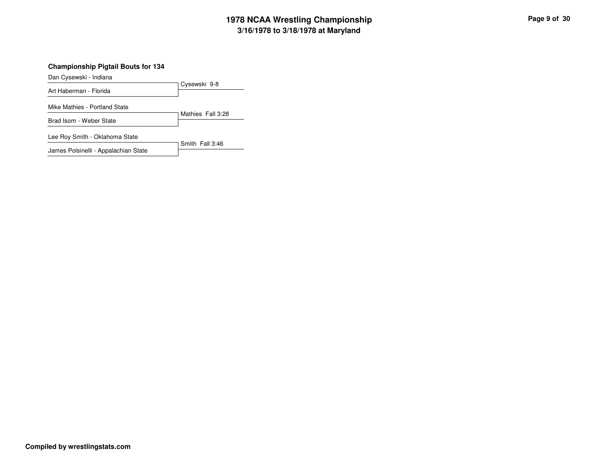#### **Championship Pigtail Bouts for 134**

Dan Cysewski - Indiana

Cysewski 9-8Art Haberman - FloridaMike Mathies - Portland State

Mathies Fall 3:28Brad Isom - Weber State

Lee Roy Smith - Oklahoma State

Smith Fall 3:46James Polsinelli - Appalachian State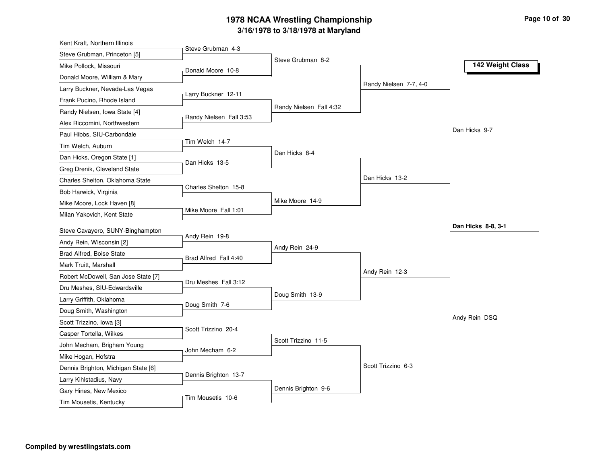| Kent Kraft, Northern Illinois                                |                         |                         |                        |                    |
|--------------------------------------------------------------|-------------------------|-------------------------|------------------------|--------------------|
| Steve Grubman, Princeton [5]                                 | Steve Grubman 4-3       |                         |                        |                    |
| Mike Pollock, Missouri                                       | Donald Moore 10-8       | Steve Grubman 8-2       |                        | 142 Weight Class   |
| Donald Moore, William & Mary                                 |                         |                         |                        |                    |
| Larry Buckner, Nevada-Las Vegas                              |                         |                         | Randy Nielsen 7-7, 4-0 |                    |
| Frank Pucino, Rhode Island                                   | Larry Buckner 12-11     |                         |                        |                    |
| Randy Nielsen, Iowa State [4]                                |                         | Randy Nielsen Fall 4:32 |                        |                    |
| Alex Riccomini, Northwestern                                 | Randy Nielsen Fall 3:53 |                         |                        |                    |
| Paul Hibbs, SIU-Carbondale                                   |                         |                         |                        | Dan Hicks 9-7      |
| Tim Welch, Auburn                                            | Tim Welch 14-7          |                         |                        |                    |
| Dan Hicks, Oregon State [1]                                  |                         | Dan Hicks 8-4           |                        |                    |
| Greg Drenik, Cleveland State                                 | Dan Hicks 13-5          |                         |                        |                    |
| Charles Shelton, Oklahoma State                              |                         |                         | Dan Hicks 13-2         |                    |
| Bob Harwick, Virginia                                        | Charles Shelton 15-8    |                         |                        |                    |
| Mike Moore, Lock Haven [8]                                   |                         | Mike Moore 14-9         |                        |                    |
| Milan Yakovich, Kent State                                   | Mike Moore Fall 1:01    |                         |                        |                    |
| Steve Cavayero, SUNY-Binghampton                             |                         |                         |                        | Dan Hicks 8-8, 3-1 |
| Andy Rein, Wisconsin [2]                                     | Andy Rein 19-8          |                         |                        |                    |
| Brad Alfred, Boise State                                     |                         | Andy Rein 24-9          |                        |                    |
|                                                              | Brad Alfred Fall 4:40   |                         |                        |                    |
| Mark Truitt, Marshall<br>Robert McDowell, San Jose State [7] |                         |                         | Andy Rein 12-3         |                    |
|                                                              | Dru Meshes Fall 3:12    |                         |                        |                    |
| Dru Meshes, SIU-Edwardsville                                 |                         | Doug Smith 13-9         |                        |                    |
| Larry Griffith, Oklahoma                                     | Doug Smith 7-6          |                         |                        |                    |
| Doug Smith, Washington                                       |                         |                         |                        | Andy Rein DSQ      |
| Scott Trizzino, Iowa [3]                                     | Scott Trizzino 20-4     |                         |                        |                    |
| Casper Tortella, Wilkes                                      |                         | Scott Trizzino 11-5     |                        |                    |
| John Mecham, Brigham Young                                   | John Mecham 6-2         |                         |                        |                    |
| Mike Hogan, Hofstra                                          |                         |                         | Scott Trizzino 6-3     |                    |
| Dennis Brighton, Michigan State [6]                          | Dennis Brighton 13-7    |                         |                        |                    |
| Larry Kihlstadius, Navy                                      |                         | Dennis Brighton 9-6     |                        |                    |
| Gary Hines, New Mexico<br>Tim Mousetis, Kentucky             | Tim Mousetis 10-6       |                         |                        |                    |
|                                                              |                         |                         |                        |                    |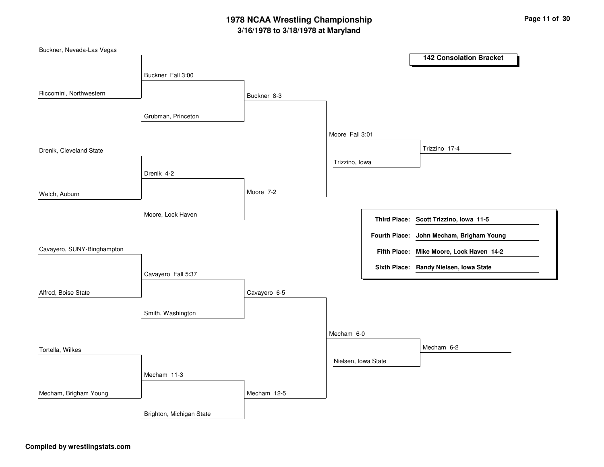| Buckner, Nevada-Las Vegas  |                          |              |                     |                                          |
|----------------------------|--------------------------|--------------|---------------------|------------------------------------------|
|                            |                          |              |                     | <b>142 Consolation Bracket</b>           |
|                            | Buckner Fall 3:00        |              |                     |                                          |
|                            |                          |              |                     |                                          |
| Riccomini, Northwestern    |                          | Buckner 8-3  |                     |                                          |
|                            |                          |              |                     |                                          |
|                            | Grubman, Princeton       |              |                     |                                          |
|                            |                          |              | Moore Fall 3:01     |                                          |
| Drenik, Cleveland State    |                          |              |                     | Trizzino 17-4                            |
|                            |                          |              | Trizzino, Iowa      |                                          |
|                            | Drenik 4-2               |              |                     |                                          |
|                            |                          |              |                     |                                          |
| Welch, Auburn              |                          | Moore 7-2    |                     |                                          |
|                            |                          |              |                     |                                          |
|                            | Moore, Lock Haven        |              |                     | Third Place: Scott Trizzino, Iowa 11-5   |
|                            |                          |              |                     | Fourth Place: John Mecham, Brigham Young |
|                            |                          |              |                     |                                          |
| Cavayero, SUNY-Binghampton |                          |              |                     | Fifth Place: Mike Moore, Lock Haven 14-2 |
|                            |                          |              |                     | Sixth Place: Randy Nielsen, Iowa State   |
|                            | Cavayero Fall 5:37       |              |                     |                                          |
| Alfred, Boise State        |                          | Cavayero 6-5 |                     |                                          |
|                            |                          |              |                     |                                          |
|                            | Smith, Washington        |              |                     |                                          |
|                            |                          |              |                     |                                          |
|                            |                          |              | Mecham 6-0          |                                          |
| Tortella, Wilkes           |                          |              |                     | Mecham 6-2                               |
|                            |                          |              | Nielsen, Iowa State |                                          |
|                            | Mecham 11-3              |              |                     |                                          |
| Mecham, Brigham Young      |                          | Mecham 12-5  |                     |                                          |
|                            |                          |              |                     |                                          |
|                            | Brighton, Michigan State |              |                     |                                          |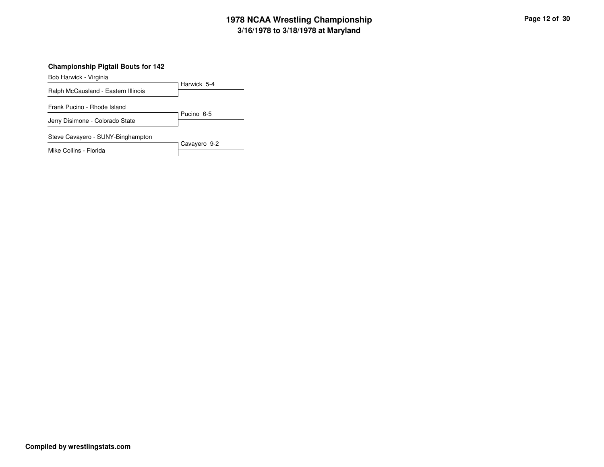### **Championship Pigtail Bouts for 142**

Bob Harwick - Virginia

Harwick 5-4Ralph McCausland - Eastern IllinoisPucino 6-5Frank Pucino - Rhode IslandJerry Disimone - Colorado StateCavayero 9-2Steve Cavayero - SUNY-Binghampton

Mike Collins - Florida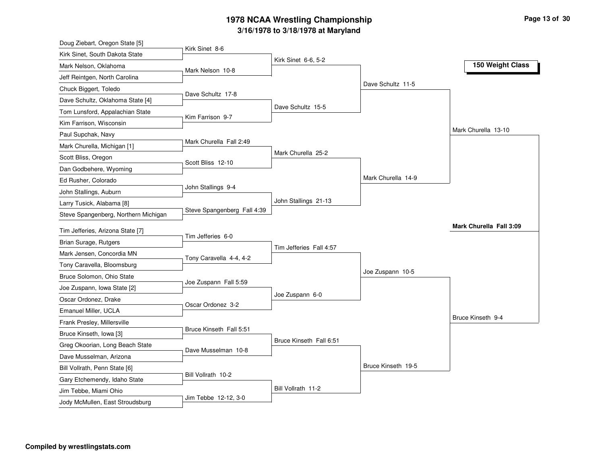| Doug Ziebart, Oregon State [5]       |                             |                         |                    |                         |
|--------------------------------------|-----------------------------|-------------------------|--------------------|-------------------------|
| Kirk Sinet, South Dakota State       | Kirk Sinet 8-6              |                         |                    |                         |
| Mark Nelson, Oklahoma                | Mark Nelson 10-8            | Kirk Sinet 6-6, 5-2     |                    | 150 Weight Class        |
| Jeff Reintgen, North Carolina        |                             |                         |                    |                         |
| Chuck Biggert, Toledo                |                             |                         | Dave Schultz 11-5  |                         |
| Dave Schultz, Oklahoma State [4]     | Dave Schultz 17-8           |                         |                    |                         |
| Tom Lunsford, Appalachian State      |                             | Dave Schultz 15-5       |                    |                         |
| Kim Farrison, Wisconsin              | Kim Farrison 9-7            |                         |                    |                         |
| Paul Supchak, Navy                   |                             |                         |                    | Mark Churella 13-10     |
| Mark Churella, Michigan [1]          | Mark Churella Fall 2:49     |                         |                    |                         |
| Scott Bliss, Oregon                  |                             | Mark Churella 25-2      |                    |                         |
| Dan Godbehere, Wyoming               | Scott Bliss 12-10           |                         |                    |                         |
| Ed Rusher, Colorado                  |                             |                         | Mark Churella 14-9 |                         |
| John Stallings, Auburn               | John Stallings 9-4          |                         |                    |                         |
| Larry Tusick, Alabama [8]            |                             | John Stallings 21-13    |                    |                         |
| Steve Spangenberg, Northern Michigan | Steve Spangenberg Fall 4:39 |                         |                    |                         |
| Tim Jefferies, Arizona State [7]     |                             |                         |                    | Mark Churella Fall 3:09 |
| Brian Surage, Rutgers                | Tim Jefferies 6-0           |                         |                    |                         |
| Mark Jensen, Concordia MN            |                             | Tim Jefferies Fall 4:57 |                    |                         |
| Tony Caravella, Bloomsburg           | Tony Caravella 4-4, 4-2     |                         |                    |                         |
| Bruce Solomon, Ohio State            |                             |                         | Joe Zuspann 10-5   |                         |
| Joe Zuspann, Iowa State [2]          | Joe Zuspann Fall 5:59       |                         |                    |                         |
| Oscar Ordonez, Drake                 |                             | Joe Zuspann 6-0         |                    |                         |
| Emanuel Miller, UCLA                 | Oscar Ordonez 3-2           |                         |                    |                         |
| Frank Presley, Millersville          |                             |                         |                    | Bruce Kinseth 9-4       |
|                                      | Bruce Kinseth Fall 5:51     |                         |                    |                         |
| Bruce Kinseth, Iowa [3]              |                             | Bruce Kinseth Fall 6:51 |                    |                         |
| Greg Okoorian, Long Beach State      | Dave Musselman 10-8         |                         |                    |                         |
| Dave Musselman, Arizona              |                             |                         | Bruce Kinseth 19-5 |                         |
| Bill Vollrath, Penn State [6]        | Bill Vollrath 10-2          |                         |                    |                         |
| Gary Etchemendy, Idaho State         |                             | Bill Vollrath 11-2      |                    |                         |
| Jim Tebbe, Miami Ohio                | Jim Tebbe 12-12, 3-0        |                         |                    |                         |
| Jody McMullen, East Stroudsburg      |                             |                         |                    |                         |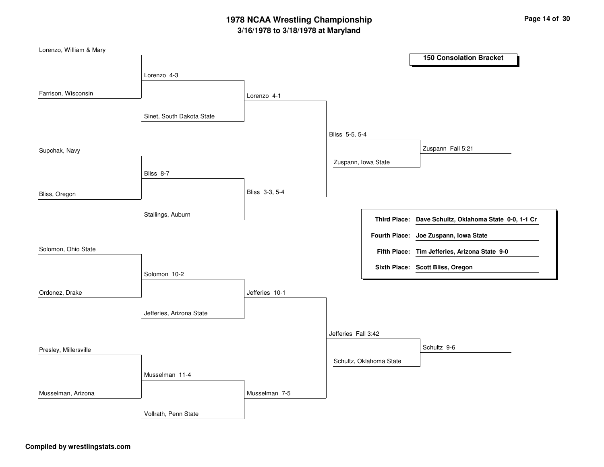| Lorenzo, William & Mary |                           |                |                     |                         |                                                       |
|-------------------------|---------------------------|----------------|---------------------|-------------------------|-------------------------------------------------------|
|                         |                           |                |                     |                         | <b>150 Consolation Bracket</b>                        |
|                         | Lorenzo 4-3               |                |                     |                         |                                                       |
|                         |                           |                |                     |                         |                                                       |
| Farrison, Wisconsin     |                           | Lorenzo 4-1    |                     |                         |                                                       |
|                         |                           |                |                     |                         |                                                       |
|                         | Sinet, South Dakota State |                |                     |                         |                                                       |
|                         |                           |                | Bliss 5-5, 5-4      |                         |                                                       |
|                         |                           |                |                     |                         |                                                       |
| Supchak, Navy           |                           |                |                     |                         | Zuspann Fall 5:21                                     |
|                         |                           |                | Zuspann, Iowa State |                         |                                                       |
|                         | Bliss 8-7                 |                |                     |                         |                                                       |
|                         |                           | Bliss 3-3, 5-4 |                     |                         |                                                       |
| Bliss, Oregon           |                           |                |                     |                         |                                                       |
|                         | Stallings, Auburn         |                |                     |                         |                                                       |
|                         |                           |                |                     |                         | Third Place: Dave Schultz, Oklahoma State 0-0, 1-1 Cr |
|                         |                           |                |                     |                         | Fourth Place: Joe Zuspann, Iowa State                 |
| Solomon, Ohio State     |                           |                |                     |                         |                                                       |
|                         |                           |                |                     |                         | Fifth Place: Tim Jefferies, Arizona State 9-0         |
|                         |                           |                |                     |                         | Sixth Place: Scott Bliss, Oregon                      |
|                         | Solomon 10-2              |                |                     |                         |                                                       |
| Ordonez, Drake          |                           | Jefferies 10-1 |                     |                         |                                                       |
|                         |                           |                |                     |                         |                                                       |
|                         | Jefferies, Arizona State  |                |                     |                         |                                                       |
|                         |                           |                |                     |                         |                                                       |
|                         |                           |                | Jefferies Fall 3:42 |                         |                                                       |
| Presley, Millersville   |                           |                |                     |                         | Schultz 9-6                                           |
|                         |                           |                |                     | Schultz, Oklahoma State |                                                       |
|                         |                           |                |                     |                         |                                                       |
|                         | Musselman 11-4            |                |                     |                         |                                                       |
| Musselman, Arizona      |                           | Musselman 7-5  |                     |                         |                                                       |
|                         |                           |                |                     |                         |                                                       |
|                         | Vollrath, Penn State      |                |                     |                         |                                                       |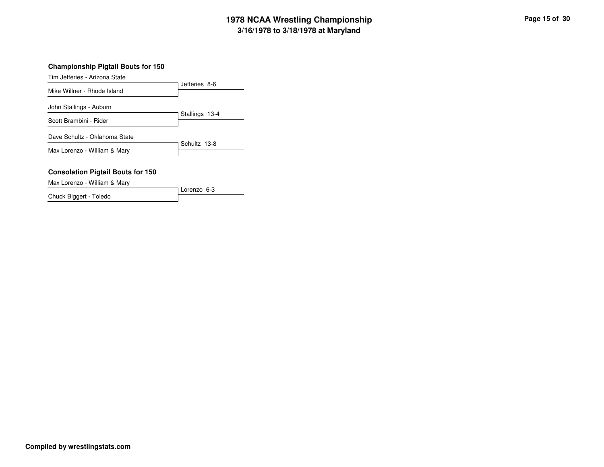#### **Championship Pigtail Bouts for 150**

Tim Jefferies - Arizona State

|                               | Jefferies 8-6  |
|-------------------------------|----------------|
| Mike Willner - Rhode Island   |                |
| John Stallings - Auburn       |                |
|                               | Stallings 13-4 |
| Scott Brambini - Rider        |                |
| Dave Schultz - Oklahoma State |                |
|                               | Schultz 13-8   |
| Max Lorenzo - William & Mary  |                |
|                               |                |

### **Consolation Pigtail Bouts for 150**

Max Lorenzo - William & Mary

Lorenzo 6-3Chuck Biggert - Toledo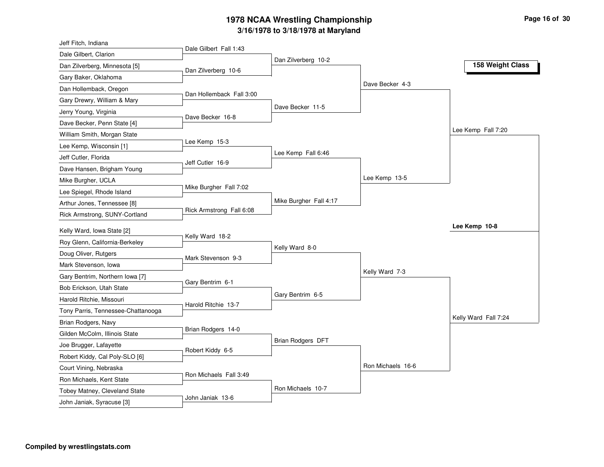| Jeff Fitch, Indiana                |                          |                        |                   |                      |
|------------------------------------|--------------------------|------------------------|-------------------|----------------------|
| Dale Gilbert, Clarion              | Dale Gilbert Fall 1:43   |                        |                   |                      |
| Dan Zilverberg, Minnesota [5]      |                          | Dan Zilverberg 10-2    |                   | 158 Weight Class     |
| Gary Baker, Oklahoma               | Dan Zilverberg 10-6      |                        |                   |                      |
| Dan Hollemback, Oregon             |                          |                        | Dave Becker 4-3   |                      |
| Gary Drewry, William & Mary        | Dan Hollemback Fall 3:00 |                        |                   |                      |
| Jerry Young, Virginia              |                          | Dave Becker 11-5       |                   |                      |
| Dave Becker, Penn State [4]        | Dave Becker 16-8         |                        |                   |                      |
| William Smith, Morgan State        |                          |                        |                   | Lee Kemp Fall 7:20   |
| Lee Kemp, Wisconsin [1]            | Lee Kemp 15-3            |                        |                   |                      |
| Jeff Cutler, Florida               |                          | Lee Kemp Fall 6:46     |                   |                      |
| Dave Hansen, Brigham Young         | Jeff Cutler 16-9         |                        |                   |                      |
| Mike Burgher, UCLA                 |                          |                        | Lee Kemp 13-5     |                      |
| Lee Spiegel, Rhode Island          | Mike Burgher Fall 7:02   |                        |                   |                      |
| Arthur Jones, Tennessee [8]        |                          | Mike Burgher Fall 4:17 |                   |                      |
| Rick Armstrong, SUNY-Cortland      | Rick Armstrong Fall 6:08 |                        |                   |                      |
| Kelly Ward, Iowa State [2]         |                          |                        |                   | Lee Kemp 10-8        |
| Roy Glenn, California-Berkeley     | Kelly Ward 18-2          |                        |                   |                      |
|                                    |                          | Kelly Ward 8-0         |                   |                      |
| Doug Oliver, Rutgers               | Mark Stevenson 9-3       |                        |                   |                      |
| Mark Stevenson, Iowa               |                          |                        | Kelly Ward 7-3    |                      |
| Gary Bentrim, Northern Iowa [7]    | Gary Bentrim 6-1         |                        |                   |                      |
| Bob Erickson, Utah State           |                          | Gary Bentrim 6-5       |                   |                      |
| Harold Ritchie, Missouri           | Harold Ritchie 13-7      |                        |                   |                      |
| Tony Parris, Tennessee-Chattanooga |                          |                        |                   | Kelly Ward Fall 7:24 |
| Brian Rodgers, Navy                | Brian Rodgers 14-0       |                        |                   |                      |
| Gilden McColm, Illinois State      |                          | Brian Rodgers DFT      |                   |                      |
| Joe Brugger, Lafayette             | Robert Kiddy 6-5         |                        |                   |                      |
| Robert Kiddy, Cal Poly-SLO [6]     |                          |                        | Ron Michaels 16-6 |                      |
| Court Vining, Nebraska             | Ron Michaels Fall 3:49   |                        |                   |                      |
| Ron Michaels, Kent State           |                          |                        |                   |                      |
| Tobey Matney, Cleveland State      | John Janiak 13-6         | Ron Michaels 10-7      |                   |                      |
| John Janiak, Syracuse [3]          |                          |                        |                   |                      |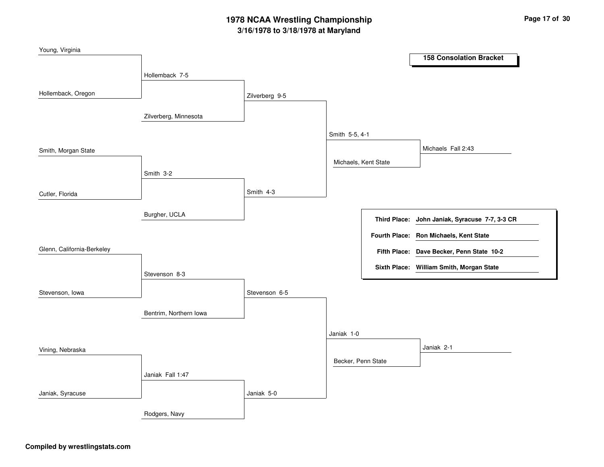| Young, Virginia            |                        |                |                      |                                                |
|----------------------------|------------------------|----------------|----------------------|------------------------------------------------|
|                            |                        |                |                      | <b>158 Consolation Bracket</b>                 |
|                            | Hollemback 7-5         |                |                      |                                                |
|                            |                        |                |                      |                                                |
| Hollemback, Oregon         |                        | Zilverberg 9-5 |                      |                                                |
|                            |                        |                |                      |                                                |
|                            | Zilverberg, Minnesota  |                |                      |                                                |
|                            |                        |                | Smith 5-5, 4-1       |                                                |
| Smith, Morgan State        |                        |                |                      | Michaels Fall 2:43                             |
|                            |                        |                | Michaels, Kent State |                                                |
|                            | Smith 3-2              |                |                      |                                                |
|                            |                        |                |                      |                                                |
| Cutler, Florida            |                        | Smith 4-3      |                      |                                                |
|                            |                        |                |                      |                                                |
|                            | Burgher, UCLA          |                |                      | Third Place: John Janiak, Syracuse 7-7, 3-3 CR |
|                            |                        |                |                      |                                                |
|                            |                        |                |                      | Fourth Place: Ron Michaels, Kent State         |
| Glenn, California-Berkeley |                        |                |                      | Fifth Place: Dave Becker, Penn State 10-2      |
|                            |                        |                |                      | Sixth Place: William Smith, Morgan State       |
|                            | Stevenson 8-3          |                |                      |                                                |
| Stevenson, Iowa            |                        | Stevenson 6-5  |                      |                                                |
|                            |                        |                |                      |                                                |
|                            | Bentrim, Northern Iowa |                |                      |                                                |
|                            |                        |                |                      |                                                |
|                            |                        |                | Janiak 1-0           |                                                |
| Vining, Nebraska           |                        |                |                      | Janiak 2-1                                     |
|                            |                        |                | Becker, Penn State   |                                                |
|                            | Janiak Fall 1:47       |                |                      |                                                |
|                            |                        |                |                      |                                                |
| Janiak, Syracuse           |                        | Janiak 5-0     |                      |                                                |
|                            |                        |                |                      |                                                |
|                            | Rodgers, Navy          |                |                      |                                                |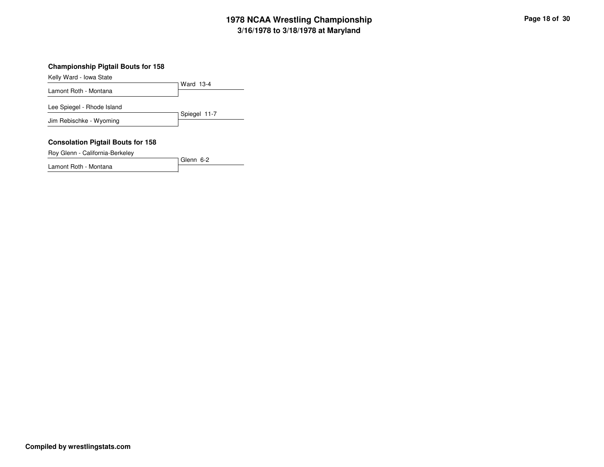### **Championship Pigtail Bouts for 158**

Kelly Ward - Iowa State

Ward 13-4Lamont Roth - MontanaSpiegel 11-7Lee Spiegel - Rhode IslandJim Rebischke - Wyoming

#### **Consolation Pigtail Bouts for 158**

Roy Glenn - California-Berkeley

Glenn 6-2Lamont Roth - Montana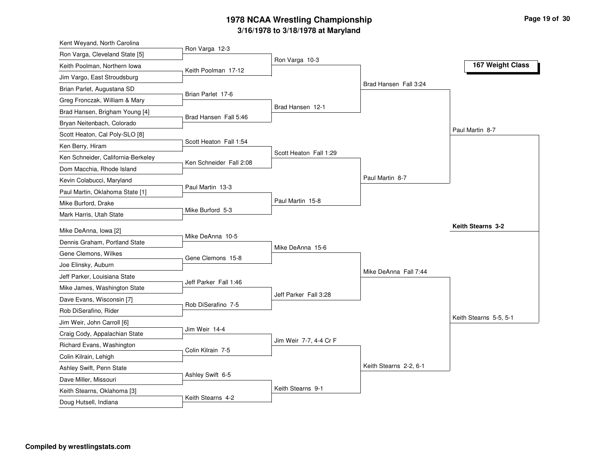| Kent Weyand, North Carolina        |                         |                        |                        |                        |
|------------------------------------|-------------------------|------------------------|------------------------|------------------------|
| Ron Varga, Cleveland State [5]     | Ron Varga 12-3          | Ron Varga 10-3         |                        |                        |
| Keith Poolman, Northern Iowa       | Keith Poolman 17-12     |                        |                        | 167 Weight Class       |
| Jim Vargo, East Stroudsburg        |                         |                        |                        |                        |
| Brian Parlet, Augustana SD         |                         |                        | Brad Hansen Fall 3:24  |                        |
| Greg Fronczak, William & Mary      | Brian Parlet 17-6       |                        |                        |                        |
| Brad Hansen, Brigham Young [4]     |                         | Brad Hansen 12-1       |                        |                        |
| Bryan Neitenbach, Colorado         | Brad Hansen Fall 5:46   |                        |                        |                        |
| Scott Heaton, Cal Poly-SLO [8]     |                         |                        |                        | Paul Martin 8-7        |
| Ken Berry, Hiram                   | Scott Heaton Fall 1:54  |                        |                        |                        |
| Ken Schneider, California-Berkeley | Ken Schneider Fall 2:08 | Scott Heaton Fall 1:29 |                        |                        |
| Dom Macchia, Rhode Island          |                         |                        |                        |                        |
| Kevin Colabucci, Maryland          |                         |                        | Paul Martin 8-7        |                        |
| Paul Martin, Oklahoma State [1]    | Paul Martin 13-3        |                        |                        |                        |
| Mike Burford, Drake                |                         | Paul Martin 15-8       |                        |                        |
| Mark Harris, Utah State            | Mike Burford 5-3        |                        |                        |                        |
| Mike DeAnna, Iowa [2]              |                         |                        |                        | Keith Stearns 3-2      |
| Dennis Graham, Portland State      | Mike DeAnna 10-5        |                        |                        |                        |
| Gene Clemons, Wilkes               |                         | Mike DeAnna 15-6       |                        |                        |
| Joe Elinsky, Auburn                | Gene Clemons 15-8       |                        |                        |                        |
| Jeff Parker, Louisiana State       |                         |                        | Mike DeAnna Fall 7:44  |                        |
| Mike James, Washington State       | Jeff Parker Fall 1:46   |                        |                        |                        |
| Dave Evans, Wisconsin [7]          |                         | Jeff Parker Fall 3:28  |                        |                        |
| Rob DiSerafino, Rider              | Rob DiSerafino 7-5      |                        |                        |                        |
| Jim Weir, John Carroll [6]         |                         |                        |                        | Keith Stearns 5-5, 5-1 |
| Craig Cody, Appalachian State      | Jim Weir 14-4           |                        |                        |                        |
| Richard Evans, Washington          |                         | Jim Weir 7-7, 4-4 Cr F |                        |                        |
| Colin Kilrain, Lehigh              | Colin Kilrain 7-5       |                        |                        |                        |
| Ashley Swift, Penn State           |                         |                        | Keith Stearns 2-2, 6-1 |                        |
| Dave Miller, Missouri              | Ashley Swift 6-5        |                        |                        |                        |
| Keith Stearns, Oklahoma [3]        |                         | Keith Stearns 9-1      |                        |                        |
| Doug Hutsell, Indiana              | Keith Stearns 4-2       |                        |                        |                        |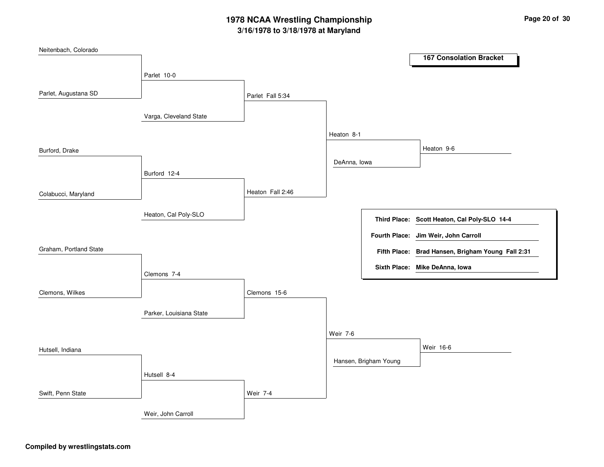| Neitenbach, Colorado   |                         |                  |              |                       |                                                   |
|------------------------|-------------------------|------------------|--------------|-----------------------|---------------------------------------------------|
|                        |                         |                  |              |                       | <b>167 Consolation Bracket</b>                    |
|                        | Parlet 10-0             |                  |              |                       |                                                   |
| Parlet, Augustana SD   |                         |                  |              |                       |                                                   |
|                        |                         | Parlet Fall 5:34 |              |                       |                                                   |
|                        | Varga, Cleveland State  |                  |              |                       |                                                   |
|                        |                         |                  |              |                       |                                                   |
|                        |                         |                  | Heaton 8-1   |                       |                                                   |
| Burford, Drake         |                         |                  |              |                       | Heaton 9-6                                        |
|                        |                         |                  | DeAnna, Iowa |                       |                                                   |
|                        | Burford 12-4            |                  |              |                       |                                                   |
|                        |                         | Heaton Fall 2:46 |              |                       |                                                   |
| Colabucci, Maryland    |                         |                  |              |                       |                                                   |
|                        | Heaton, Cal Poly-SLO    |                  |              |                       |                                                   |
|                        |                         |                  |              |                       | Third Place: Scott Heaton, Cal Poly-SLO 14-4      |
|                        |                         |                  |              |                       | Fourth Place: Jim Weir, John Carroll              |
| Graham, Portland State |                         |                  |              |                       | Fifth Place: Brad Hansen, Brigham Young Fall 2:31 |
|                        |                         |                  |              |                       | Sixth Place: Mike DeAnna, Iowa                    |
|                        | Clemons 7-4             |                  |              |                       |                                                   |
| Clemons, Wilkes        |                         | Clemons 15-6     |              |                       |                                                   |
|                        |                         |                  |              |                       |                                                   |
|                        | Parker, Louisiana State |                  |              |                       |                                                   |
|                        |                         |                  |              |                       |                                                   |
|                        |                         |                  | Weir 7-6     |                       |                                                   |
| Hutsell, Indiana       |                         |                  |              |                       | Weir 16-6                                         |
|                        |                         |                  |              | Hansen, Brigham Young |                                                   |
|                        | Hutsell 8-4             |                  |              |                       |                                                   |
|                        |                         |                  |              |                       |                                                   |
| Swift, Penn State      |                         | <b>Weir 7-4</b>  |              |                       |                                                   |
|                        | Weir, John Carroll      |                  |              |                       |                                                   |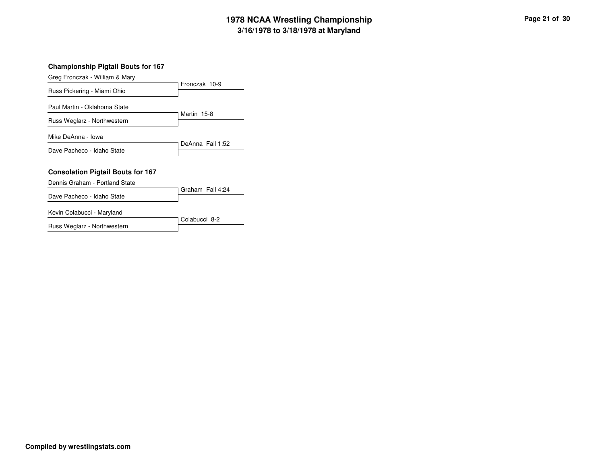### **Championship Pigtail Bouts for 167**

Greg Fronczak - William & Mary

| Russ Pickering - Miami Ohio                                 | Fronczak 10-9    |
|-------------------------------------------------------------|------------------|
| Paul Martin - Oklahoma State<br>Russ Weglarz - Northwestern | Martin 15-8      |
| Mike DeAnna - Iowa                                          |                  |
| Dave Pacheco - Idaho State                                  | DeAnna Fall 1:52 |
| <b>Consolation Pigtail Bouts for 167</b>                    |                  |
| Dennis Graham - Portland State                              |                  |
| Dave Pacheco - Idaho State                                  | Graham Fall 4:24 |

Kevin Colabucci - Maryland

| <b>INGVILL ODIADACCI</b> IVIAL VIAHO |               |
|--------------------------------------|---------------|
|                                      | Colabucci 8-2 |
| Russ Weglarz - Northwestern          |               |
|                                      |               |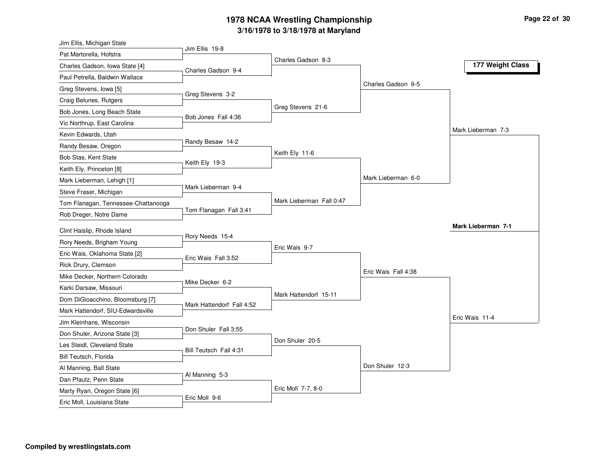| Jim Ellis, Michigan State           |                           |                          |                     |                           |
|-------------------------------------|---------------------------|--------------------------|---------------------|---------------------------|
| Pat Martorella, Hofstra             | Jim Ellis 19-8            | Charles Gadson 8-3       |                     |                           |
| Charles Gadson, Iowa State [4]      | Charles Gadson 9-4        |                          |                     | 177 Weight Class          |
| Paul Petrella, Baldwin Wallace      |                           |                          |                     |                           |
| Greg Stevens, Iowa [5]              |                           |                          | Charles Gadson 9-5  |                           |
| Craig Belunes, Rutgers              | Greg Stevens 3-2          |                          |                     |                           |
| Bob Jones, Long Beach State         |                           | Greg Stevens 21-6        |                     |                           |
| Vic Northrup, East Carolina         | Bob Jones Fall 4:36       |                          |                     |                           |
| Kevin Edwards, Utah                 |                           |                          |                     | Mark Lieberman 7-3        |
| Randy Besaw, Oregon                 | Randy Besaw 14-2          |                          |                     |                           |
| Bob Stas, Kent State                |                           | Keith Ely 11-6           |                     |                           |
| Keith Ely, Princeton [8]            | Keith Ely 19-3            |                          |                     |                           |
| Mark Lieberman, Lehigh [1]          |                           |                          | Mark Lieberman 6-0  |                           |
| Steve Fraser, Michigan              | Mark Lieberman 9-4        |                          |                     |                           |
| Tom Flanagan, Tennessee-Chattanooga |                           | Mark Lieberman Fall 0:47 |                     |                           |
| Rob Dreger, Notre Dame              | Tom Flanagan Fall 3:41    |                          |                     |                           |
| Clint Haislip, Rhode Island         |                           |                          |                     | <b>Mark Lieberman 7-1</b> |
| Rory Needs, Brigham Young           | Rory Needs 15-4           |                          |                     |                           |
| Eric Wais, Oklahoma State [2]       |                           | Eric Wais 9-7            |                     |                           |
| Rick Drury, Clemson                 | Eric Wais Fall 3:52       |                          |                     |                           |
| Mike Decker, Northern Colorado      |                           |                          | Eric Wais Fall 4:38 |                           |
| Karki Darsaw, Missouri              | Mike Decker 6-2           |                          |                     |                           |
| Dom DiGioacchino, Bloomsburg [7]    |                           | Mark Hattendorf 15-11    |                     |                           |
| Mark Hattendorf, SIU-Edwardsville   | Mark Hattendorf Fall 4:52 |                          |                     |                           |
| Jim Kleinhans, Wisconsin            |                           |                          |                     | Eric Wais 11-4            |
| Don Shuler, Arizona State [3]       | Don Shuler Fall 3:55      |                          |                     |                           |
| Les Steidl, Cleveland State         |                           | Don Shuler 20-5          |                     |                           |
| Bill Teutsch, Florida               | Bill Teutsch Fall 4:31    |                          |                     |                           |
| Al Manning, Ball State              |                           |                          | Don Shuler 12-3     |                           |
| Dan Pfautz, Penn State              | Al Manning 5-3            |                          |                     |                           |
| Marty Ryan, Oregon State [6]        |                           | Eric Moll 7-7, 8-0       |                     |                           |
| Eric Moll, Louisiana State          | Eric Moll 9-6             |                          |                     |                           |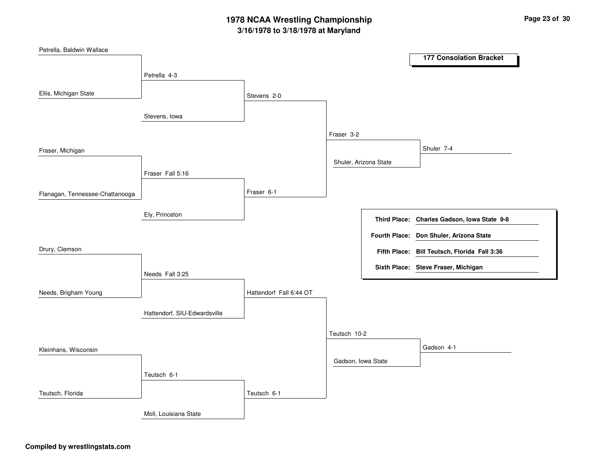| Petrella, Baldwin Wallace       |                              |                         |                       |                                              |
|---------------------------------|------------------------------|-------------------------|-----------------------|----------------------------------------------|
|                                 |                              |                         |                       | <b>177 Consolation Bracket</b>               |
|                                 | Petrella 4-3                 |                         |                       |                                              |
|                                 |                              |                         |                       |                                              |
| Ellis, Michigan State           |                              | Stevens 2-0             |                       |                                              |
|                                 | Stevens, lowa                |                         |                       |                                              |
|                                 |                              |                         |                       |                                              |
|                                 |                              |                         | Fraser 3-2            |                                              |
| Fraser, Michigan                |                              |                         |                       | Shuler 7-4                                   |
|                                 |                              |                         | Shuler, Arizona State |                                              |
|                                 | Fraser Fall 5:16             |                         |                       |                                              |
|                                 |                              | Fraser 6-1              |                       |                                              |
| Flanagan, Tennessee-Chattanooga |                              |                         |                       |                                              |
|                                 | Ely, Princeton               |                         |                       |                                              |
|                                 |                              |                         |                       | Third Place: Charles Gadson, Iowa State 9-8  |
|                                 |                              |                         |                       | Fourth Place: Don Shuler, Arizona State      |
| Drury, Clemson                  |                              |                         |                       | Fifth Place: Bill Teutsch, Florida Fall 3:36 |
|                                 |                              |                         |                       |                                              |
|                                 | Needs Fall 3:25              |                         |                       | Sixth Place: Steve Fraser, Michigan          |
|                                 |                              |                         |                       |                                              |
| Needs, Brigham Young            |                              | Hattendorf Fall 6:44 OT |                       |                                              |
|                                 | Hattendorf, SIU-Edwardsville |                         |                       |                                              |
|                                 |                              |                         |                       |                                              |
|                                 |                              |                         | Teutsch 10-2          |                                              |
| Kleinhans, Wisconsin            |                              |                         |                       | Gadson 4-1                                   |
|                                 |                              |                         | Gadson, Iowa State    |                                              |
|                                 | Teutsch 6-1                  |                         |                       |                                              |
|                                 |                              |                         |                       |                                              |
| Teutsch, Florida                |                              | Teutsch 6-1             |                       |                                              |
|                                 | Moll, Louisiana State        |                         |                       |                                              |
|                                 |                              |                         |                       |                                              |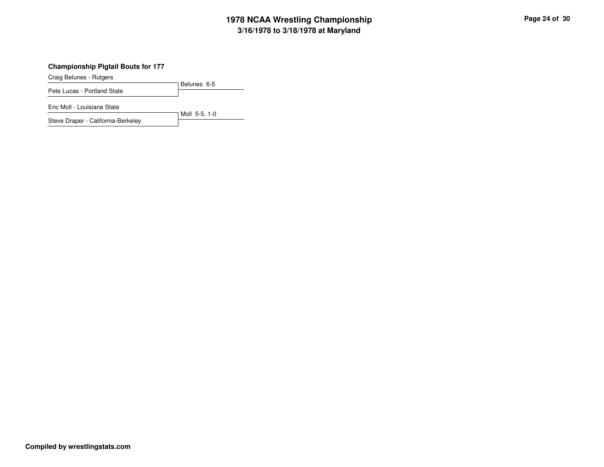### **Championship Pigtail Bouts for 177**

Craig Belunes - Rutgers

Belunes 6-5Pete Lucas - Portland State

Eric Moll - Louisiana State

Moll 5-5, 1-0Steve Draper - California-Berkeley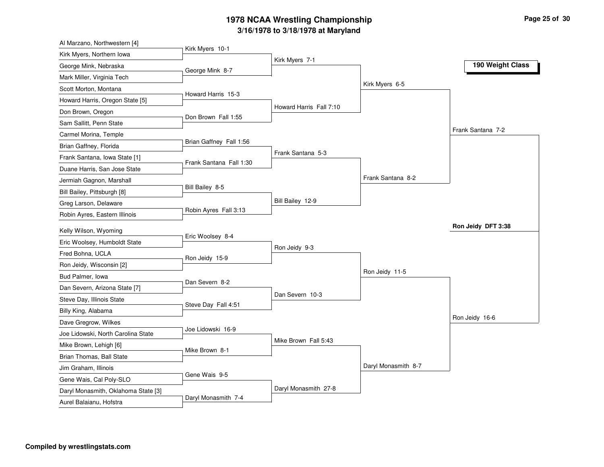| Al Marzano, Northwestern [4]        |                         |                         |                     |                    |
|-------------------------------------|-------------------------|-------------------------|---------------------|--------------------|
| Kirk Myers, Northern Iowa           | Kirk Myers 10-1         |                         |                     |                    |
| George Mink, Nebraska               | George Mink 8-7         | Kirk Myers 7-1          |                     | 190 Weight Class   |
| Mark Miller, Virginia Tech          |                         |                         |                     |                    |
| Scott Morton, Montana               |                         |                         | Kirk Myers 6-5      |                    |
| Howard Harris, Oregon State [5]     | Howard Harris 15-3      |                         |                     |                    |
| Don Brown, Oregon                   |                         | Howard Harris Fall 7:10 |                     |                    |
| Sam Sallitt, Penn State             | Don Brown Fall 1:55     |                         |                     |                    |
| Carmel Morina, Temple               |                         |                         |                     | Frank Santana 7-2  |
| Brian Gaffney, Florida              | Brian Gaffney Fall 1:56 |                         |                     |                    |
| Frank Santana, Iowa State [1]       |                         | Frank Santana 5-3       |                     |                    |
| Duane Harris, San Jose State        | Frank Santana Fall 1:30 |                         |                     |                    |
| Jermiah Gagnon, Marshall            |                         |                         | Frank Santana 8-2   |                    |
| Bill Bailey, Pittsburgh [8]         | Bill Bailey 8-5         |                         |                     |                    |
| Greg Larson, Delaware               |                         | Bill Bailey 12-9        |                     |                    |
| Robin Ayres, Eastern Illinois       | Robin Ayres Fall 3:13   |                         |                     |                    |
|                                     |                         |                         |                     | Ron Jeidy DFT 3:38 |
| Kelly Wilson, Wyoming               | Eric Woolsey 8-4        |                         |                     |                    |
| Eric Woolsey, Humboldt State        |                         | Ron Jeidy 9-3           |                     |                    |
| Fred Bohna, UCLA                    | Ron Jeidy 15-9          |                         |                     |                    |
| Ron Jeidy, Wisconsin [2]            |                         |                         | Ron Jeidy 11-5      |                    |
| Bud Palmer, Iowa                    | Dan Severn 8-2          |                         |                     |                    |
| Dan Severn, Arizona State [7]       |                         | Dan Severn 10-3         |                     |                    |
| Steve Day, Illinois State           | Steve Day Fall 4:51     |                         |                     |                    |
| Billy King, Alabama                 |                         |                         |                     | Ron Jeidy 16-6     |
| Dave Gregrow, Wilkes                | Joe Lidowski 16-9       |                         |                     |                    |
| Joe Lidowski, North Carolina State  |                         | Mike Brown Fall 5:43    |                     |                    |
| Mike Brown, Lehigh [6]              | Mike Brown 8-1          |                         |                     |                    |
| Brian Thomas, Ball State            |                         |                         |                     |                    |
| Jim Graham, Illinois                | Gene Wais 9-5           |                         | Daryl Monasmith 8-7 |                    |
| Gene Wais, Cal Poly-SLO             |                         |                         |                     |                    |
| Daryl Monasmith, Oklahoma State [3] | Daryl Monasmith 7-4     | Daryl Monasmith 27-8    |                     |                    |
| Aurel Balaianu, Hofstra             |                         |                         |                     |                    |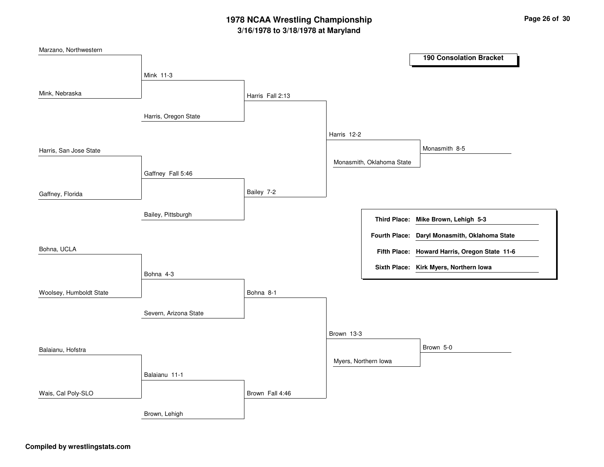| Marzano, Northwestern   |                       |                  |                      |                           |                                               |
|-------------------------|-----------------------|------------------|----------------------|---------------------------|-----------------------------------------------|
|                         |                       |                  |                      |                           | <b>190 Consolation Bracket</b>                |
|                         | Mink 11-3             |                  |                      |                           |                                               |
|                         |                       |                  |                      |                           |                                               |
| Mink, Nebraska          |                       | Harris Fall 2:13 |                      |                           |                                               |
|                         |                       |                  |                      |                           |                                               |
|                         | Harris, Oregon State  |                  |                      |                           |                                               |
|                         |                       |                  | Harris 12-2          |                           |                                               |
|                         |                       |                  |                      |                           | Monasmith 8-5                                 |
| Harris, San Jose State  |                       |                  |                      |                           |                                               |
|                         |                       |                  |                      | Monasmith, Oklahoma State |                                               |
|                         | Gaffney Fall 5:46     |                  |                      |                           |                                               |
| Gaffney, Florida        |                       | Bailey 7-2       |                      |                           |                                               |
|                         |                       |                  |                      |                           |                                               |
|                         | Bailey, Pittsburgh    |                  |                      |                           | Third Place: Mike Brown, Lehigh 5-3           |
|                         |                       |                  |                      |                           |                                               |
|                         |                       |                  |                      | <b>Fourth Place:</b>      | Daryl Monasmith, Oklahoma State               |
| Bohna, UCLA             |                       |                  |                      |                           | Fifth Place: Howard Harris, Oregon State 11-6 |
|                         |                       |                  |                      |                           | Sixth Place: Kirk Myers, Northern Iowa        |
|                         | Bohna 4-3             |                  |                      |                           |                                               |
|                         |                       |                  |                      |                           |                                               |
| Woolsey, Humboldt State |                       | Bohna 8-1        |                      |                           |                                               |
|                         | Severn, Arizona State |                  |                      |                           |                                               |
|                         |                       |                  |                      |                           |                                               |
|                         |                       |                  | Brown 13-3           |                           |                                               |
| Balaianu, Hofstra       |                       |                  |                      |                           | Brown 5-0                                     |
|                         |                       |                  | Myers, Northern Iowa |                           |                                               |
|                         |                       |                  |                      |                           |                                               |
|                         | Balaianu 11-1         |                  |                      |                           |                                               |
| Wais, Cal Poly-SLO      |                       | Brown Fall 4:46  |                      |                           |                                               |
|                         |                       |                  |                      |                           |                                               |
|                         | Brown, Lehigh         |                  |                      |                           |                                               |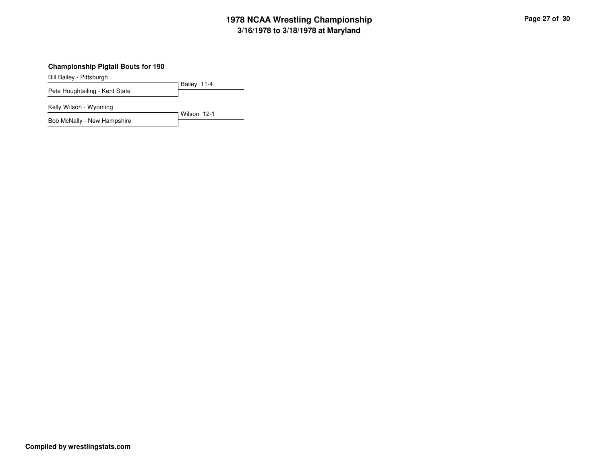### **Championship Pigtail Bouts for 190**

Bill Bailey - Pittsburgh

Bailey 11-4Pete Houghtailing - Kent State

Kelly Wilson - Wyoming

Wilson 12-1Bob McNally - New Hampshire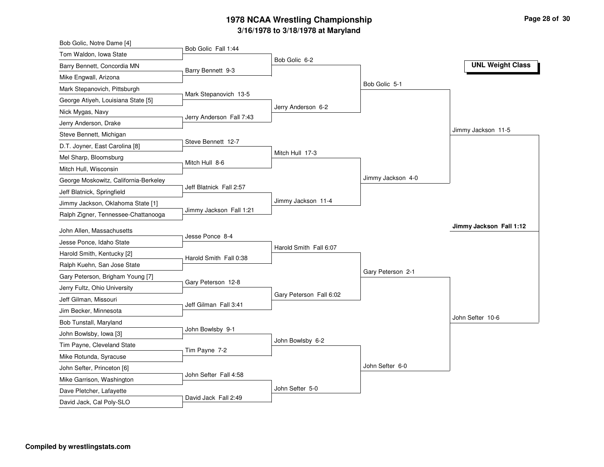| Bob Golic, Notre Dame [4]                            |                          |                         |                   |                         |
|------------------------------------------------------|--------------------------|-------------------------|-------------------|-------------------------|
| Tom Waldon, Iowa State                               | Bob Golic Fall 1:44      |                         |                   |                         |
| Barry Bennett, Concordia MN                          | Barry Bennett 9-3        | Bob Golic 6-2           |                   | <b>UNL Weight Class</b> |
| Mike Engwall, Arizona                                |                          |                         |                   |                         |
| Mark Stepanovich, Pittsburgh                         |                          |                         | Bob Golic 5-1     |                         |
| George Atiyeh, Louisiana State [5]                   | Mark Stepanovich 13-5    |                         |                   |                         |
| Nick Mygas, Navy                                     |                          | Jerry Anderson 6-2      |                   |                         |
| Jerry Anderson, Drake                                | Jerry Anderson Fall 7:43 |                         |                   |                         |
| Steve Bennett, Michigan                              |                          |                         |                   | Jimmy Jackson 11-5      |
| D.T. Joyner, East Carolina [8]                       | Steve Bennett 12-7       |                         |                   |                         |
| Mel Sharp, Bloomsburg                                |                          | Mitch Hull 17-3         |                   |                         |
| Mitch Hull, Wisconsin                                | Mitch Hull 8-6           |                         |                   |                         |
| George Moskowitz, California-Berkeley                |                          |                         | Jimmy Jackson 4-0 |                         |
| Jeff Blatnick, Springfield                           | Jeff Blatnick Fall 2:57  |                         |                   |                         |
| Jimmy Jackson, Oklahoma State [1]                    |                          | Jimmy Jackson 11-4      |                   |                         |
| Ralph Zigner, Tennessee-Chattanooga                  | Jimmy Jackson Fall 1:21  |                         |                   |                         |
| John Allen, Massachusetts                            |                          |                         |                   | Jimmy Jackson Fall 1:12 |
| Jesse Ponce, Idaho State                             | Jesse Ponce 8-4          |                         |                   |                         |
| Harold Smith, Kentucky [2]                           |                          | Harold Smith Fall 6:07  |                   |                         |
| Ralph Kuehn, San Jose State                          | Harold Smith Fall 0:38   |                         |                   |                         |
| Gary Peterson, Brigham Young [7]                     |                          |                         | Gary Peterson 2-1 |                         |
| Jerry Fultz, Ohio University                         | Gary Peterson 12-8       |                         |                   |                         |
| Jeff Gilman, Missouri                                |                          | Gary Peterson Fall 6:02 |                   |                         |
| Jim Becker, Minnesota                                | Jeff Gilman Fall 3:41    |                         |                   |                         |
|                                                      |                          |                         |                   | John Sefter 10-6        |
| Bob Tunstall, Maryland                               | John Bowlsby 9-1         |                         |                   |                         |
| John Bowlsby, Iowa [3]<br>Tim Payne, Cleveland State |                          | John Bowlsby 6-2        |                   |                         |
| Mike Rotunda, Syracuse                               | Tim Payne 7-2            |                         |                   |                         |
|                                                      |                          |                         | John Sefter 6-0   |                         |
| John Sefter, Princeton [6]                           | John Sefter Fall 4:58    |                         |                   |                         |
| Mike Garrison, Washington                            |                          | John Sefter 5-0         |                   |                         |
| Dave Pletcher, Lafayette                             | David Jack Fall 2:49     |                         |                   |                         |
| David Jack, Cal Poly-SLO                             |                          |                         |                   |                         |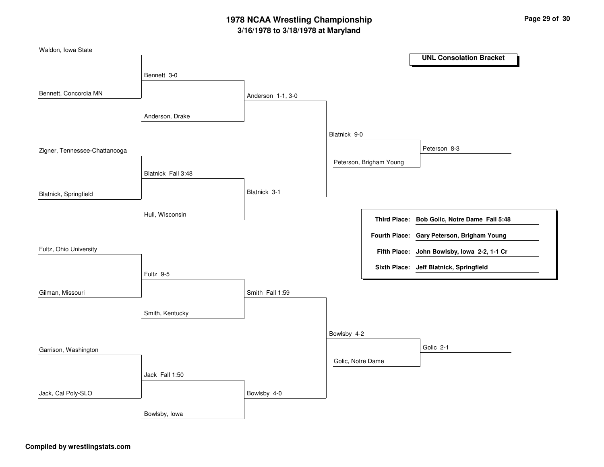| Waldon, Iowa State            |                    |                   |                   |                         |                                              |  |
|-------------------------------|--------------------|-------------------|-------------------|-------------------------|----------------------------------------------|--|
|                               |                    |                   |                   |                         | <b>UNL Consolation Bracket</b>               |  |
|                               | Bennett 3-0        |                   |                   |                         |                                              |  |
| Bennett, Concordia MN         |                    | Anderson 1-1, 3-0 |                   |                         |                                              |  |
|                               | Anderson, Drake    |                   |                   |                         |                                              |  |
|                               |                    |                   | Blatnick 9-0      |                         |                                              |  |
| Zigner, Tennessee-Chattanooga |                    |                   |                   |                         | Peterson 8-3                                 |  |
|                               | Blatnick Fall 3:48 |                   |                   | Peterson, Brigham Young |                                              |  |
| Blatnick, Springfield         |                    | Blatnick 3-1      |                   |                         |                                              |  |
|                               | Hull, Wisconsin    |                   |                   |                         | Third Place: Bob Golic, Notre Dame Fall 5:48 |  |
|                               |                    |                   |                   |                         | Fourth Place: Gary Peterson, Brigham Young   |  |
| Fultz, Ohio University        |                    |                   |                   |                         | Fifth Place: John Bowlsby, Iowa 2-2, 1-1 Cr  |  |
|                               | Fultz 9-5          |                   |                   |                         | Sixth Place: Jeff Blatnick, Springfield      |  |
| Gilman, Missouri              |                    | Smith Fall 1:59   |                   |                         |                                              |  |
|                               | Smith, Kentucky    |                   |                   |                         |                                              |  |
|                               |                    |                   | Bowlsby 4-2       |                         |                                              |  |
| Garrison, Washington          |                    |                   |                   |                         | Golic 2-1                                    |  |
|                               |                    |                   | Golic, Notre Dame |                         |                                              |  |
|                               | Jack Fall 1:50     |                   |                   |                         |                                              |  |
| Jack, Cal Poly-SLO            |                    | Bowlsby 4-0       |                   |                         |                                              |  |
|                               | Bowlsby, Iowa      |                   |                   |                         |                                              |  |